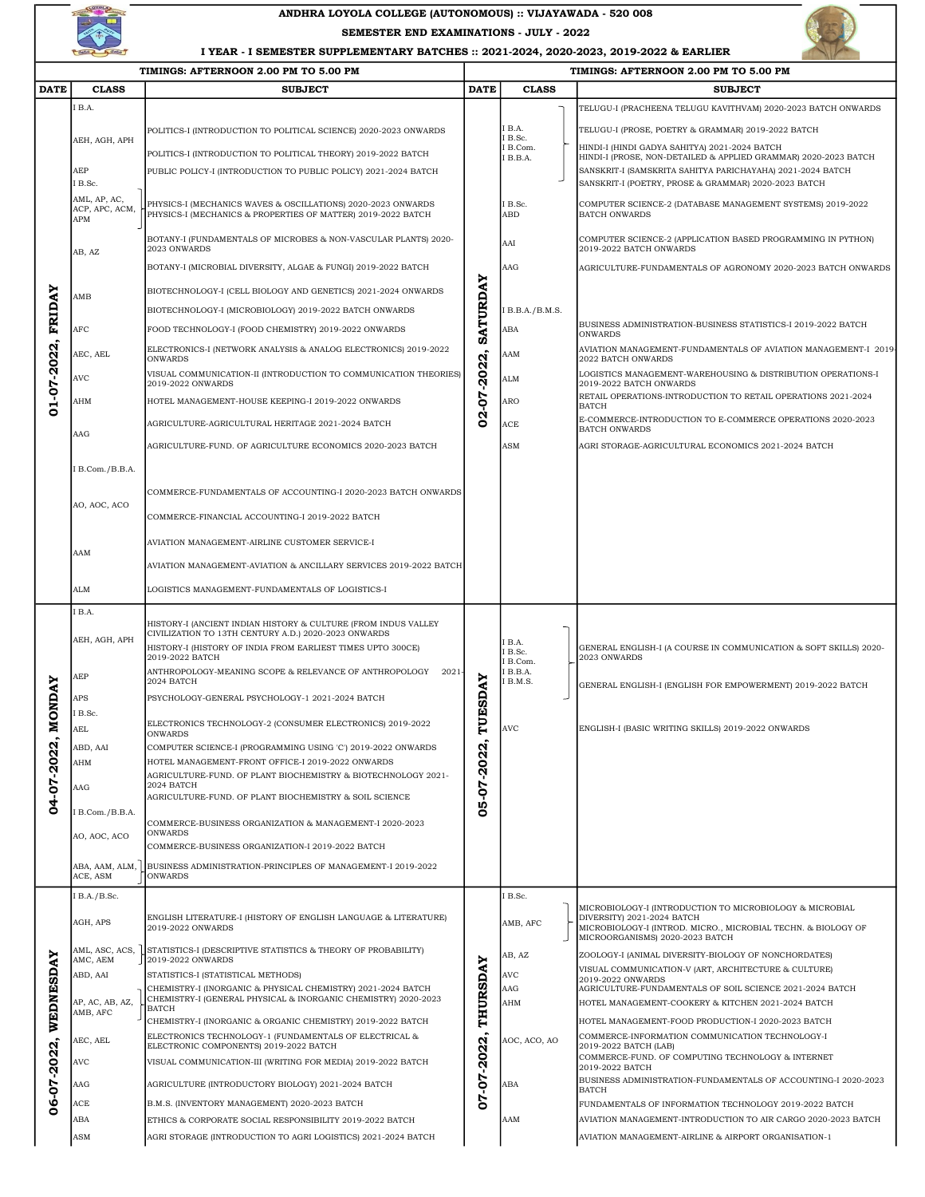

## ANDHRA LOYOLA COLLEGE (AUTONOMOUS) :: VIJAYAWADA - 520 008

SEMESTER END EXAMINATIONS - JULY - 2022



I YEAR - I SEMESTER SUPPLEMENTARY BATCHES :: 2021-2024, 2020-2023, 2019-2022 & EARLIER ┯

|               | TIMINGS: AFTERNOON 2.00 PM TO 5.00 PM |                                                                                                                                |                         | TIMINGS: AFTERNOON 2.00 PM TO 5.00 PM |                                                                   |                                                                                                                               |  |
|---------------|---------------------------------------|--------------------------------------------------------------------------------------------------------------------------------|-------------------------|---------------------------------------|-------------------------------------------------------------------|-------------------------------------------------------------------------------------------------------------------------------|--|
| <b>DATE</b>   | <b>CLASS</b>                          | <b>SUBJECT</b>                                                                                                                 | <b>DATE</b>             | <b>CLASS</b>                          |                                                                   | <b>SUBJECT</b>                                                                                                                |  |
|               | I B.A.                                |                                                                                                                                |                         |                                       |                                                                   | TELUGU-I (PRACHEENA TELUGU KAVITHVAM) 2020-2023 BATCH ONWARDS                                                                 |  |
|               | AEH, AGH, APH                         | POLITICS-I (INTRODUCTION TO POLITICAL SCIENCE) 2020-2023 ONWARDS                                                               |                         | I B.A.                                |                                                                   | TELUGU-I (PROSE, POETRY & GRAMMAR) 2019-2022 BATCH                                                                            |  |
|               |                                       | POLITICS-I (INTRODUCTION TO POLITICAL THEORY) 2019-2022 BATCH                                                                  |                         | I B.Sc.<br>I B.Com.                   |                                                                   | HINDI-I (HINDI GADYA SAHITYA) 2021-2024 BATCH                                                                                 |  |
|               | AEP                                   | PUBLIC POLICY-I (INTRODUCTION TO PUBLIC POLICY) 2021-2024 BATCH                                                                |                         | I B.B.A.                              |                                                                   | HINDI-I (PROSE, NON-DETAILED & APPLIED GRAMMAR) 2020-2023 BATCH<br>SANSKRIT-I (SAMSKRITA SAHITYA PARICHAYAHA) 2021-2024 BATCH |  |
|               | I B.Sc.                               |                                                                                                                                |                         |                                       |                                                                   | SANSKRIT-I (POETRY, PROSE & GRAMMAR) 2020-2023 BATCH                                                                          |  |
|               | AML, AP, AC,<br>ACP, APC, ACM,        | PHYSICS-I (MECHANICS WAVES & OSCILLATIONS) 2020-2023 ONWARDS<br>PHYSICS-I (MECHANICS & PROPERTIES OF MATTER) 2019-2022 BATCH   |                         | I B.Sc.<br>ABD                        |                                                                   | COMPUTER SCIENCE-2 (DATABASE MANAGEMENT SYSTEMS) 2019-2022<br><b>BATCH ONWARDS</b>                                            |  |
|               | APM                                   | BOTANY-I (FUNDAMENTALS OF MICROBES & NON-VASCULAR PLANTS) 2020-                                                                |                         |                                       |                                                                   | COMPUTER SCIENCE-2 (APPLICATION BASED PROGRAMMING IN PYTHON)                                                                  |  |
|               | AB, AZ<br>AMB                         | 2023 ONWARDS                                                                                                                   |                         | AAI                                   |                                                                   | 2019-2022 BATCH ONWARDS                                                                                                       |  |
|               |                                       | BOTANY-I (MICROBIAL DIVERSITY, ALGAE & FUNGI) 2019-2022 BATCH                                                                  |                         | AAG                                   |                                                                   | AGRICULTURE-FUNDAMENTALS OF AGRONOMY 2020-2023 BATCH ONWARDS                                                                  |  |
|               |                                       | BIOTECHNOLOGY-I (CELL BIOLOGY AND GENETICS) 2021-2024 ONWARDS                                                                  |                         |                                       |                                                                   |                                                                                                                               |  |
| <b>FRIDAY</b> |                                       | BIOTECHNOLOGY-I (MICROBIOLOGY) 2019-2022 BATCH ONWARDS                                                                         | SATURDAY                | I B.B.A./B.M.S.                       |                                                                   |                                                                                                                               |  |
|               | AFC                                   | FOOD TECHNOLOGY-I (FOOD CHEMISTRY) 2019-2022 ONWARDS                                                                           |                         | ABA                                   |                                                                   | BUSINESS ADMINISTRATION-BUSINESS STATISTICS-I 2019-2022 BATCH<br>ONWARDS                                                      |  |
| 01-07-2022    | AEC, AEL                              | ELECTRONICS-I (NETWORK ANALYSIS & ANALOG ELECTRONICS) 2019-2022<br><b>ONWARDS</b>                                              |                         | AAM                                   |                                                                   | AVIATION MANAGEMENT-FUNDAMENTALS OF AVIATION MANAGEMENT-I 2019<br>2022 BATCH ONWARDS                                          |  |
|               | AVC                                   | VISUAL COMMUNICATION-II (INTRODUCTION TO COMMUNICATION THEORIES)<br>2019-2022 ONWARDS                                          | $-2022$<br>02-07        | <b>ALM</b>                            |                                                                   | LOGISTICS MANAGEMENT-WAREHOUSING & DISTRIBUTION OPERATIONS-I<br>2019-2022 BATCH ONWARDS                                       |  |
|               | AHM                                   | HOTEL MANAGEMENT-HOUSE KEEPING-I 2019-2022 ONWARDS                                                                             |                         | <b>ARO</b>                            |                                                                   | RETAIL OPERATIONS-INTRODUCTION TO RETAIL OPERATIONS 2021-2024                                                                 |  |
|               |                                       |                                                                                                                                |                         |                                       |                                                                   | <b>BATCH</b><br>E-COMMERCE-INTRODUCTION TO E-COMMERCE OPERATIONS 2020-2023<br><b>BATCH ONWARDS</b>                            |  |
|               | AAG                                   | AGRICULTURE-AGRICULTURAL HERITAGE 2021-2024 BATCH                                                                              |                         | ACE                                   |                                                                   |                                                                                                                               |  |
|               |                                       | AGRICULTURE-FUND. OF AGRICULTURE ECONOMICS 2020-2023 BATCH                                                                     |                         | ASM                                   |                                                                   | AGRI STORAGE-AGRICULTURAL ECONOMICS 2021-2024 BATCH                                                                           |  |
|               | I B.Com./B.B.A.                       |                                                                                                                                |                         |                                       |                                                                   |                                                                                                                               |  |
|               |                                       | COMMERCE-FUNDAMENTALS OF ACCOUNTING-I 2020-2023 BATCH ONWARDS                                                                  |                         |                                       |                                                                   |                                                                                                                               |  |
|               | AO, AOC, ACO                          | COMMERCE-FINANCIAL ACCOUNTING-I 2019-2022 BATCH                                                                                |                         |                                       |                                                                   |                                                                                                                               |  |
|               |                                       | AVIATION MANAGEMENT-AIRLINE CUSTOMER SERVICE-I                                                                                 |                         |                                       |                                                                   |                                                                                                                               |  |
|               | AAM                                   | AVIATION MANAGEMENT-AVIATION & ANCILLARY SERVICES 2019-2022 BATCH                                                              |                         |                                       |                                                                   |                                                                                                                               |  |
|               |                                       |                                                                                                                                |                         |                                       |                                                                   |                                                                                                                               |  |
|               | <b>ALM</b>                            | LOGISTICS MANAGEMENT-FUNDAMENTALS OF LOGISTICS-I                                                                               |                         |                                       |                                                                   |                                                                                                                               |  |
|               | I B.A.                                | HISTORY-I (ANCIENT INDIAN HISTORY & CULTURE (FROM INDUS VALLEY                                                                 |                         |                                       |                                                                   |                                                                                                                               |  |
|               | AEH, AGH, APH                         | CIVILIZATION TO 13TH CENTURY A.D.) 2020-2023 ONWARDS<br>HISTORY-I (HISTORY OF INDIA FROM EARLIEST TIMES UPTO 300CE)            |                         | I B.A.                                | GENERAL ENGLISH-I (A COURSE IN COMMUNICATION & SOFT SKILLS) 2020- |                                                                                                                               |  |
|               |                                       | 2019-2022 BATCH<br>ANTHROPOLOGY-MEANING SCOPE & RELEVANCE OF ANTHROPOLOGY                                                      | TUESDAY<br>05-07-2022   | I B.Sc.<br>I B.Com.                   |                                                                   | 2023 ONWARDS                                                                                                                  |  |
|               | AEP                                   | 2021<br>2024 BATCH                                                                                                             |                         | IB.B.A.<br>I B.M.S.                   |                                                                   | GENERAL ENGLISH-I (ENGLISH FOR EMPOWERMENT) 2019-2022 BATCH                                                                   |  |
| MONDAY        | APS                                   | PSYCHOLOGY-GENERAL PSYCHOLOGY-1 2021-2024 BATCH                                                                                |                         |                                       |                                                                   |                                                                                                                               |  |
|               | I B.Sc.<br><b>AEL</b>                 | ELECTRONICS TECHNOLOGY-2 (CONSUMER ELECTRONICS) 2019-2022                                                                      |                         | <b>AVC</b>                            |                                                                   | ENGLISH-I (BASIC WRITING SKILLS) 2019-2022 ONWARDS                                                                            |  |
| N             | ABD, AAI                              | <b>ONWARDS</b><br>COMPUTER SCIENCE-I (PROGRAMMING USING 'C') 2019-2022 ONWARDS                                                 |                         |                                       |                                                                   |                                                                                                                               |  |
|               | AHM                                   | HOTEL MANAGEMENT-FRONT OFFICE-I 2019-2022 ONWARDS                                                                              |                         |                                       |                                                                   |                                                                                                                               |  |
|               | AAG                                   | AGRICULTURE-FUND. OF PLANT BIOCHEMISTRY & BIOTECHNOLOGY 2021-<br>2024 BATCH                                                    |                         |                                       |                                                                   |                                                                                                                               |  |
| 04-07-202     |                                       | AGRICULTURE-FUND. OF PLANT BIOCHEMISTRY & SOIL SCIENCE                                                                         |                         |                                       |                                                                   |                                                                                                                               |  |
|               | I B.Com./B.B.A.                       | COMMERCE-BUSINESS ORGANIZATION & MANAGEMENT-I 2020-2023                                                                        |                         |                                       |                                                                   |                                                                                                                               |  |
|               | AO, AOC, ACO                          | <b>ONWARDS</b><br>COMMERCE-BUSINESS ORGANIZATION-I 2019-2022 BATCH                                                             |                         |                                       |                                                                   |                                                                                                                               |  |
|               | ABA, AAM, ALM,                        | BUSINESS ADMINISTRATION-PRINCIPLES OF MANAGEMENT-I 2019-2022                                                                   |                         |                                       |                                                                   |                                                                                                                               |  |
|               | ACE, ASM<br>I B.A./B.Sc.              | <b>ONWARDS</b>                                                                                                                 |                         | I B.Sc.                               |                                                                   |                                                                                                                               |  |
|               |                                       | ENGLISH LITERATURE-I (HISTORY OF ENGLISH LANGUAGE & LITERATURE)                                                                | THURSDAY<br>07-07-2022. |                                       |                                                                   | MICROBIOLOGY-I (INTRODUCTION TO MICROBIOLOGY & MICROBIAL<br>DIVERSITY) 2021-2024 BATCH                                        |  |
|               | AGH, APS                              | 2019-2022 ONWARDS                                                                                                              |                         | AMB, AFC                              |                                                                   | MICROBIOLOGY-I (INTROD. MICRO., MICROBIAL TECHN. & BIOLOGY OF<br>MICROORGANISMS) 2020-2023 BATCH                              |  |
|               | AML, ASC, ACS,<br>AMC, AEM            | STATISTICS-I (DESCRIPTIVE STATISTICS & THEORY OF PROBABILITY)<br>2019-2022 ONWARDS                                             |                         | AB, AZ                                |                                                                   | ZOOLOGY-I (ANIMAL DIVERSITY-BIOLOGY OF NONCHORDATES)                                                                          |  |
|               | ABD, AAI                              | STATISTICS-I (STATISTICAL METHODS)                                                                                             |                         | <b>AVC</b>                            |                                                                   | VISUAL COMMUNICATION-V (ART, ARCHITECTURE & CULTURE)<br>2019-2022 ONWARDS                                                     |  |
| WEDNESDAY     |                                       | CHEMISTRY-I (INORGANIC & PHYSICAL CHEMISTRY) 2021-2024 BATCH<br>CHEMISTRY-I (GENERAL PHYSICAL & INORGANIC CHEMISTRY) 2020-2023 |                         | AAG                                   |                                                                   | AGRICULTURE-FUNDAMENTALS OF SOIL SCIENCE 2021-2024 BATCH                                                                      |  |
|               | AP, AC, AB, AZ,<br>AMB, AFC           | <b>BATCH</b>                                                                                                                   |                         | AHM                                   |                                                                   | HOTEL MANAGEMENT-COOKERY & KITCHEN 2021-2024 BATCH                                                                            |  |
|               | AEC, AEL                              | CHEMISTRY-I (INORGANIC & ORGANIC CHEMISTRY) 2019-2022 BATCH<br>ELECTRONICS TECHNOLOGY-1 (FUNDAMENTALS OF ELECTRICAL &          |                         | AOC, ACO, AO                          |                                                                   | HOTEL MANAGEMENT-FOOD PRODUCTION-I 2020-2023 BATCH<br>COMMERCE-INFORMATION COMMUNICATION TECHNOLOGY-I                         |  |
| 6-07-2022,    |                                       | ELECTRONIC COMPONENTS) 2019-2022 BATCH                                                                                         |                         |                                       |                                                                   | 2019-2022 BATCH (LAB)<br>COMMERCE-FUND. OF COMPUTING TECHNOLOGY & INTERNET                                                    |  |
|               | <b>AVC</b>                            | VISUAL COMMUNICATION-III (WRITING FOR MEDIA) 2019-2022 BATCH                                                                   |                         |                                       |                                                                   | 2019-2022 BATCH<br>BUSINESS ADMINISTRATION-FUNDAMENTALS OF ACCOUNTING-I 2020-2023                                             |  |
|               | AAG                                   | AGRICULTURE (INTRODUCTORY BIOLOGY) 2021-2024 BATCH                                                                             |                         | ABA                                   |                                                                   | BATCH                                                                                                                         |  |
| ٥             | ACE<br>ABA                            | B.M.S. (INVENTORY MANAGEMENT) 2020-2023 BATCH<br>ETHICS & CORPORATE SOCIAL RESPONSIBILITY 2019-2022 BATCH                      |                         | AAM                                   |                                                                   | FUNDAMENTALS OF INFORMATION TECHNOLOGY 2019-2022 BATCH<br>AVIATION MANAGEMENT-INTRODUCTION TO AIR CARGO 2020-2023 BATCH       |  |
|               | ASM                                   | AGRI STORAGE (INTRODUCTION TO AGRI LOGISTICS) 2021-2024 BATCH                                                                  |                         |                                       |                                                                   | AVIATION MANAGEMENT-AIRLINE & AIRPORT ORGANISATION-1                                                                          |  |
|               |                                       |                                                                                                                                |                         |                                       |                                                                   |                                                                                                                               |  |